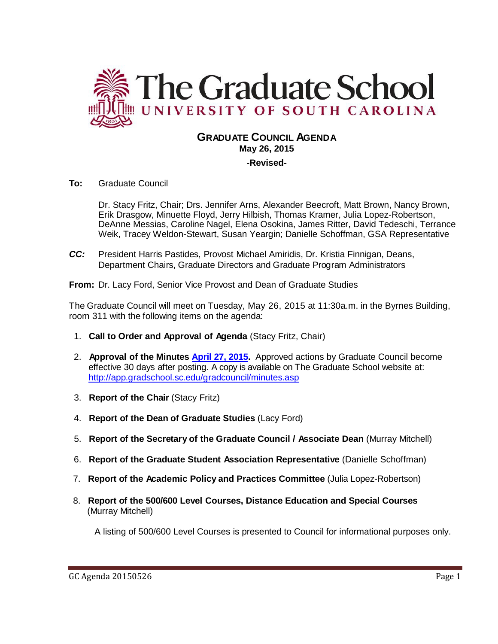

# **GRADUATE COUNCIL AGENDA May 26, 2015**

**-Revised-**

**To:** Graduate Council

Dr. Stacy Fritz, Chair; Drs. Jennifer Arns, Alexander Beecroft, Matt Brown, Nancy Brown, Erik Drasgow, Minuette Floyd, Jerry Hilbish, Thomas Kramer, Julia Lopez-Robertson, DeAnne Messias, Caroline Nagel, Elena Osokina, James Ritter, David Tedeschi, Terrance Weik, Tracey Weldon-Stewart, Susan Yeargin; Danielle Schoffman, GSA Representative

*CC:* President Harris Pastides, Provost Michael Amiridis, Dr. Kristia Finnigan, Deans, Department Chairs, Graduate Directors and Graduate Program Administrators

**From:** Dr. Lacy Ford, Senior Vice Provost and Dean of Graduate Studies

The Graduate Council will meet on Tuesday, May 26, 2015 at 11:30a.m. in the Byrnes Building, room 311 with the following items on the agenda:

- 1. **Call to Order and Approval of Agenda** (Stacy Fritz, Chair)
- 2. **Approval of the Minutes [April 27, 2015.](http://gradschool.sc.edu/facstaff/gradcouncil/2014/GC%20Minutes%204-27-15.pdf)** Approved actions by Graduate Council become effective 30 days after posting. A copy is available on The Graduate School website at: <http://app.gradschool.sc.edu/gradcouncil/minutes.asp>
- 3. **Report of the Chair** (Stacy Fritz)
- 4. **Report of the Dean of Graduate Studies** (Lacy Ford)
- 5. **Report of the Secretary of the Graduate Council / Associate Dean** (Murray Mitchell)
- 6. **Report of the Graduate Student Association Representative** (Danielle Schoffman)
- 7. **Report of the Academic Policy and Practices Committee** (Julia Lopez-Robertson)
- 8. **Report of the 500/600 Level Courses, Distance Education and Special Courses** (Murray Mitchell)

A listing of 500/600 Level Courses is presented to Council for informational purposes only.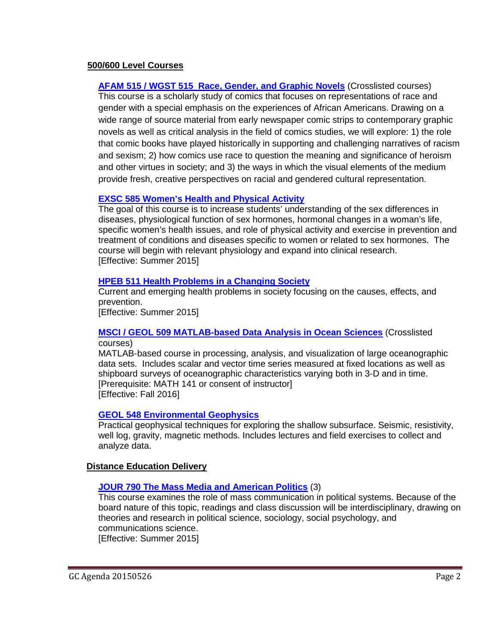## **500/600 Level Courses**

**AFAM 515 / WGST [515 Race, Gender, and Graphic Novels](http://gradschool.sc.edu/facstaff/gradcouncil/2014/AFAM%20515-WGST%20515%20crosslist%20syllabus.pdf)** (Crosslisted courses) This course is a scholarly study of comics that focuses on representations of race and gender with a special emphasis on the experiences of African Americans. Drawing on a wide range of source material from early newspaper comic strips to contemporary graphic novels as well as critical analysis in the field of comics studies, we will explore: 1) the role that comic books have played historically in supporting and challenging narratives of racism and sexism; 2) how comics use race to question the meaning and significance of heroism and other virtues in society; and 3) the ways in which the visual elements of the medium provide fresh, creative perspectives on racial and gendered cultural representation.

# **EXSC 585 [Women's Health and Physical Activity](http://gradschool.sc.edu/facstaff/gradcouncil/2014/Syllabus%20Women)**

The goal of this course is to increase students' understanding of the sex differences in diseases, physiological function of sex hormones, hormonal changes in a woman's life, specific women's health issues, and role of physical activity and exercise in prevention and treatment of conditions and diseases specific to women or related to sex hormones. The course will begin with relevant physiology and expand into clinical research. [Effective: Summer 2015]

## **HPEB 511 [Health Problems in a Changing Society](http://gradschool.sc.edu/facstaff/gradcouncil/2014/HPEB%20511.pdf)**

Current and emerging health problems in society focusing on the causes, effects, and prevention.

[Effective: Summer 2015]

#### **[MSCI / GEOL 509 MATLAB-based Data Analysis in Ocean Sciences](http://gradschool.sc.edu/facstaff/gradcouncil/2014/MSCI%20509%20syllabus-a.pdf)** (Crosslisted courses)

MATLAB-based course in processing, analysis, and visualization of large oceanographic data sets. Includes scalar and vector time series measured at fixed locations as well as shipboard surveys of oceanographic characteristics varying both in 3-D and in time. [Prerequisite: MATH 141 or consent of instructor] [Effective: Fall 2016]

## **[GEOL 548 Environmental Geophysics](http://gradschool.sc.edu/facstaff/gradcouncil/2014/GEOL%20548%20revised%20syllabus.pdf)**

Practical geophysical techniques for exploring the shallow subsurface. Seismic, resistivity, well log, gravity, magnetic methods. Includes lectures and field exercises to collect and analyze data.

## **Distance Education Delivery**

# **[JOUR 790 The Mass Media and American Politics](http://gradschool.sc.edu/facstaff/gradcouncil/2014/JOUR%20790%20DED_Redacted.pdf)** (3)

This course examines the role of mass communication in political systems. Because of the board nature of this topic, readings and class discussion will be interdisciplinary, drawing on theories and research in political science, sociology, social psychology, and communications science. [Effective: Summer 2015]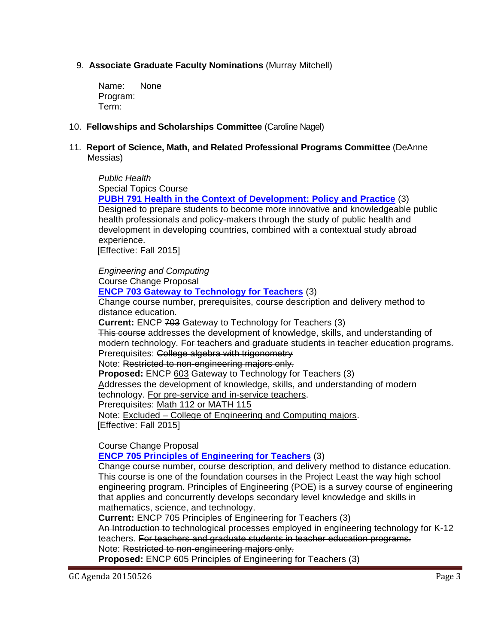# 9. **Associate Graduate Faculty Nominations** (Murray Mitchell)

Name: None Program: Term:

## 10. **Fellowships and Scholarships Committee** (Caroline Nagel)

## 11. **Report of Science, Math, and Related Professional Programs Committee** (DeAnne Messias)

*Public Health* Special Topics Course **PUBH [791 Health in the Context of Development: Policy and Practice](http://gradschool.sc.edu/facstaff/gradcouncil/2014/HSPM%20791%20Spec%20Top_Redacted.pdf)** (3) Designed to prepare students to become more innovative and knowledgeable public health professionals and policy-makers through the study of public health and development in developing countries, combined with a contextual study abroad experience. [Effective: Fall 2015]

*Engineering and Computing* Course Change Proposal

#### **[ENCP 703 Gateway to Technology for Teachers](http://gradschool.sc.edu/facstaff/gradcouncil/2014/ENCP%20703%20CCP_Redacted.pdf)** (3)

Change course number, prerequisites, course description and delivery method to distance education.

**Current:** ENCP 703 Gateway to Technology for Teachers (3)

This course addresses the development of knowledge, skills, and understanding of modern technology. For teachers and graduate students in teacher education programs. Prerequisites: College algebra with trigonometry

Note: Restricted to non-engineering majors only.

**Proposed:** ENCP 603 Gateway to Technology for Teachers (3)

Addresses the development of knowledge, skills, and understanding of modern technology. For pre-service and in-service teachers.

Prerequisites: Math 112 or MATH 115

Note: Excluded – College of Engineering and Computing majors. [Effective: Fall 2015]

Course Change Proposal

**[ENCP 705 Principles of Engineering for Teachers](http://gradschool.sc.edu/facstaff/gradcouncil/2014/ENCP%20705%20CCP_Redacted.pdf)** (3)

Change course number, course description, and delivery method to distance education. This course is one of the foundation courses in the Project Least the way high school engineering program. Principles of Engineering (POE) is a survey course of engineering that applies and concurrently develops secondary level knowledge and skills in mathematics, science, and technology.

**Current:** ENCP 705 Principles of Engineering for Teachers (3) An Introduction to technological processes employed in engineering technology for K-12 teachers. For teachers and graduate students in teacher education programs. Note: Restricted to non-engineering majors only.

**Proposed:** ENCP 605 Principles of Engineering for Teachers (3)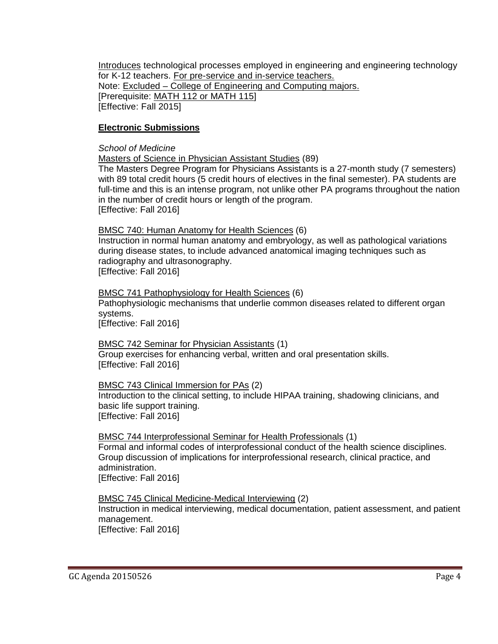Introduces technological processes employed in engineering and engineering technology for K-12 teachers. For pre-service and in-service teachers. Note: Excluded – College of Engineering and Computing majors. [Prerequisite: MATH 112 or MATH 115] [Effective: Fall 2015]

## **Electronic Submissions**

#### *School of Medicine*

Masters of Science in Physician Assistant Studies (89)

The Masters Degree Program for Physicians Assistants is a 27-month study (7 semesters) with 89 total credit hours (5 credit hours of electives in the final semester). PA students are full-time and this is an intense program, not unlike other PA programs throughout the nation in the number of credit hours or length of the program. [Effective: Fall 2016]

#### BMSC 740: Human Anatomy for Health Sciences (6)

Instruction in normal human anatomy and embryology, as well as pathological variations during disease states, to include advanced anatomical imaging techniques such as radiography and ultrasonography.

[Effective: Fall 2016]

BMSC 741 Pathophysiology for Health Sciences (6)

Pathophysiologic mechanisms that underlie common diseases related to different organ systems.

[Effective: Fall 2016]

## BMSC 742 Seminar for Physician Assistants (1)

Group exercises for enhancing verbal, written and oral presentation skills. [Effective: Fall 2016]

## BMSC 743 Clinical Immersion for PAs (2)

Introduction to the clinical setting, to include HIPAA training, shadowing clinicians, and basic life support training. [Effective: Fall 2016]

## BMSC 744 Interprofessional Seminar for Health Professionals (1)

Formal and informal codes of interprofessional conduct of the health science disciplines. Group discussion of implications for interprofessional research, clinical practice, and administration.

[Effective: Fall 2016]

## BMSC 745 Clinical Medicine-Medical Interviewing (2)

Instruction in medical interviewing, medical documentation, patient assessment, and patient management. [Effective: Fall 2016]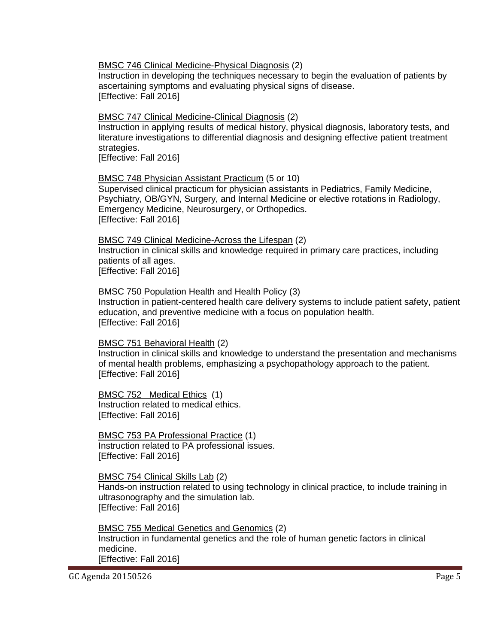BMSC 746 Clinical Medicine-Physical Diagnosis (2)

Instruction in developing the techniques necessary to begin the evaluation of patients by ascertaining symptoms and evaluating physical signs of disease. [Effective: Fall 2016]

BMSC 747 Clinical Medicine-Clinical Diagnosis (2)

Instruction in applying results of medical history, physical diagnosis, laboratory tests, and literature investigations to differential diagnosis and designing effective patient treatment strategies.

[Effective: Fall 2016]

#### BMSC 748 Physician Assistant Practicum (5 or 10)

Supervised clinical practicum for physician assistants in Pediatrics, Family Medicine, Psychiatry, OB/GYN, Surgery, and Internal Medicine or elective rotations in Radiology, Emergency Medicine, Neurosurgery, or Orthopedics. [Effective: Fall 2016]

#### BMSC 749 Clinical Medicine-Across the Lifespan (2)

Instruction in clinical skills and knowledge required in primary care practices, including patients of all ages.

[Effective: Fall 2016]

BMSC 750 Population Health and Health Policy (3)

Instruction in patient-centered health care delivery systems to include patient safety, patient education, and preventive medicine with a focus on population health. [Effective: Fall 2016]

#### BMSC 751 Behavioral Health (2)

Instruction in clinical skills and knowledge to understand the presentation and mechanisms of mental health problems, emphasizing a psychopathology approach to the patient. [Effective: Fall 2016]

#### BMSC 752 Medical Ethics (1) Instruction related to medical ethics. [Effective: Fall 2016]

BMSC 753 PA Professional Practice (1) Instruction related to PA professional issues. [Effective: Fall 2016]

#### BMSC 754 Clinical Skills Lab (2)

Hands-on instruction related to using technology in clinical practice, to include training in ultrasonography and the simulation lab. [Effective: Fall 2016]

## BMSC 755 Medical Genetics and Genomics (2)

Instruction in fundamental genetics and the role of human genetic factors in clinical medicine. [Effective: Fall 2016]

GC Agenda 20150526 Page 5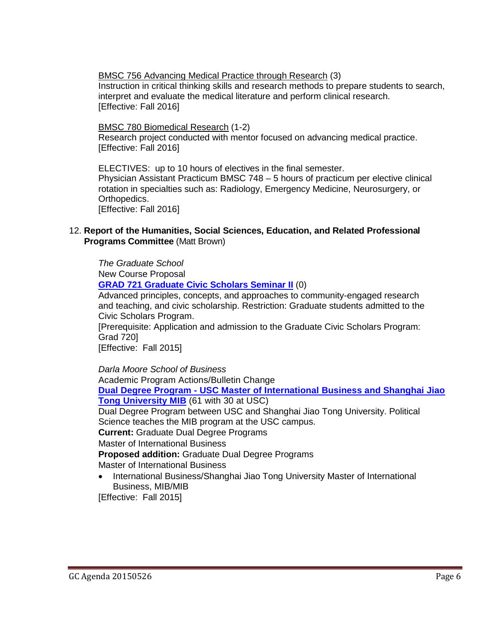BMSC 756 Advancing Medical Practice through Research (3)

Instruction in critical thinking skills and research methods to prepare students to search, interpret and evaluate the medical literature and perform clinical research. [Effective: Fall 2016]

BMSC 780 Biomedical Research (1-2) Research project conducted with mentor focused on advancing medical practice. [Effective: Fall 2016]

ELECTIVES: up to 10 hours of electives in the final semester. Physician Assistant Practicum BMSC 748 – 5 hours of practicum per elective clinical rotation in specialties such as: Radiology, Emergency Medicine, Neurosurgery, or Orthopedics. [Effective: Fall 2016]

12. **Report of the Humanities, Social Sciences, Education, and Related Professional Programs Committee** (Matt Brown)

*The Graduate School* New Course Proposal **[GRAD 721 Graduate Civic Scholars Seminar](http://gradschool.sc.edu/facstaff/gradcouncil/2014/ECON%20892%20NCP_Redacted.pdf) II** (0) Advanced principles, concepts, and approaches to community-engaged research and teaching, and civic scholarship. Restriction: Graduate students admitted to the Civic Scholars Program.

[Prerequisite: Application and admission to the Graduate Civic Scholars Program: Grad 720]

[Effective: Fall 2015]

*Darla Moore School of Business* Academic Program Actions/Bulletin Change **Dual Degree Program - [USC Master of International Business and Shanghai Jiao](http://gradschool.sc.edu/facstaff/gradcouncil/2014/Dual%20degree%20Master%20of%20Intl%20Business-SJTU%20MIB%20APA_Redacted1.pdf)  [Tong University MIB](http://gradschool.sc.edu/facstaff/gradcouncil/2014/Dual%20degree%20Master%20of%20Intl%20Business-SJTU%20MIB%20APA_Redacted1.pdf)** (61 with 30 at USC) Dual Degree Program between USC and Shanghai Jiao Tong University. Political Science teaches the MIB program at the USC campus. **Current:** Graduate Dual Degree Programs Master of International Business **Proposed addition:** Graduate Dual Degree Programs Master of International Business • International Business/Shanghai Jiao Tong University Master of International

Business, MIB/MIB

[Effective: Fall 2015]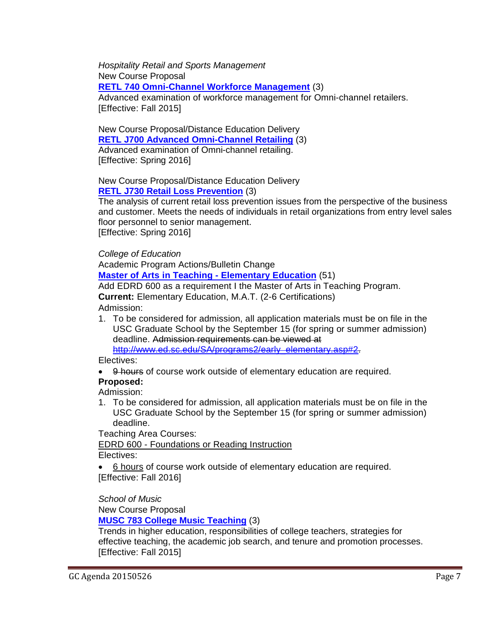*Hospitality Retail and Sports Management* New Course Proposal **[RETL 740 Omni-Channel Workforce Management](http://gradschool.sc.edu/facstaff/gradcouncil/2014/RETL%20740%20NCP-DED1.pdf)** (3)

Advanced examination of workforce management for Omni-channel retailers. [Effective: Fall 2015]

New Course Proposal/Distance Education Delivery **[RETL J700 Advanced Omni-Channel Retailing](http://gradschool.sc.edu/facstaff/gradcouncil/2014/RETL%20J700%20NCP%20DED.pdf)** (3) Advanced examination of Omni-channel retailing. [Effective: Spring 2016]

# New Course Proposal/Distance Education Delivery **[RETL J730 Retail Loss Prevention](http://gradschool.sc.edu/facstaff/gradcouncil/2014/RETL%20J730%20NCP%20DED.pdf)** (3)

The analysis of current retail loss prevention issues from the perspective of the business and customer. Meets the needs of individuals in retail organizations from entry level sales floor personnel to senior management. [Effective: Spring 2016]

*College of Education*

Academic Program Actions/Bulletin Change

**[Master of Arts in Teaching -](http://gradschool.sc.edu/facstaff/gradcouncil/2014/MAT%20Elementary%20ED%20APA_Redacted.pdf) Elementary Education** (51)

Add EDRD 600 as a requirement I the Master of Arts in Teaching Program.

**Current:** Elementary Education, M.A.T. (2-6 Certifications) Admission:

1. To be considered for admission, all application materials must be on file in the USC Graduate School by the September 15 (for spring or summer admission) deadline. Admission requirements can be viewed at

[http://www.ed.sc.edu/SA/programs2/early\\_elementary.asp#2.](http://www.ed.sc.edu/SA/programs2/early_elementary.asp#2)

Electives:

• 9 hours of course work outside of elementary education are required.

# **Proposed:**

Admission:

1. To be considered for admission, all application materials must be on file in the USC Graduate School by the September 15 (for spring or summer admission) deadline.

Teaching Area Courses:

EDRD 600 - Foundations or Reading Instruction

Electives:

• 6 hours of course work outside of elementary education are required. [Effective: Fall 2016]

*School of Music*

New Course Proposal

**[MUSC 783 College Music Teaching](http://gradschool.sc.edu/facstaff/gradcouncil/2014/MUSC%20783%20NCP_Redacted.pdf)** (3)

Trends in higher education, responsibilities of college teachers, strategies for effective teaching, the academic job search, and tenure and promotion processes. [Effective: Fall 2015]

GC Agenda 20150526 Page 7